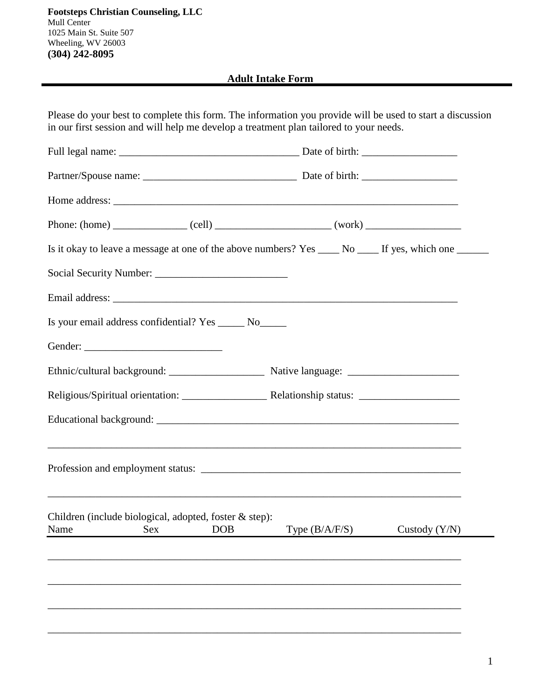**Adult Intake Form**

| Please do your best to complete this form. The information you provide will be used to start a discussion<br>in our first session and will help me develop a treatment plan tailored to your needs. |                  |                 |
|-----------------------------------------------------------------------------------------------------------------------------------------------------------------------------------------------------|------------------|-----------------|
|                                                                                                                                                                                                     |                  |                 |
|                                                                                                                                                                                                     |                  |                 |
|                                                                                                                                                                                                     |                  |                 |
|                                                                                                                                                                                                     |                  |                 |
| Is it okay to leave a message at one of the above numbers? Yes _____ No _____ If yes, which one ______                                                                                              |                  |                 |
|                                                                                                                                                                                                     |                  |                 |
|                                                                                                                                                                                                     |                  |                 |
| Is your email address confidential? Yes _______ No_______                                                                                                                                           |                  |                 |
|                                                                                                                                                                                                     |                  |                 |
|                                                                                                                                                                                                     |                  |                 |
|                                                                                                                                                                                                     |                  |                 |
|                                                                                                                                                                                                     |                  |                 |
|                                                                                                                                                                                                     |                  |                 |
| Children (include biological, adopted, foster & step):<br>Name<br><b>DOB</b><br>Sex                                                                                                                 | Type $(B/A/F/S)$ | Custody $(Y/N)$ |
|                                                                                                                                                                                                     |                  |                 |
|                                                                                                                                                                                                     |                  |                 |
|                                                                                                                                                                                                     |                  |                 |
|                                                                                                                                                                                                     |                  |                 |
|                                                                                                                                                                                                     |                  |                 |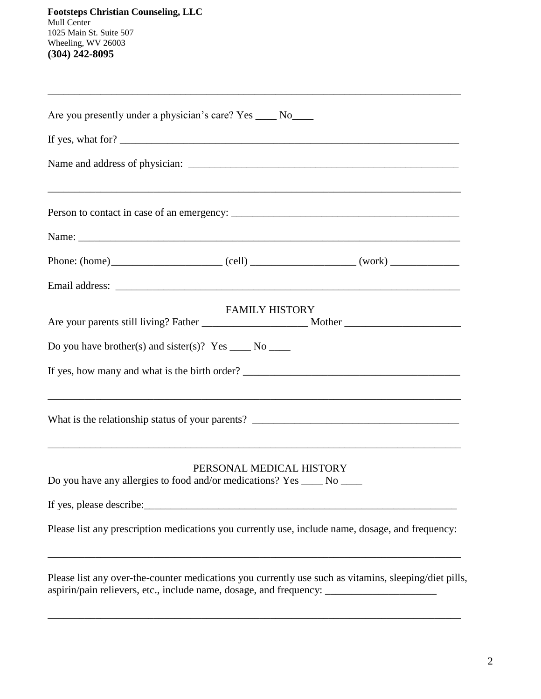|                                                                    | Are you presently under a physician's care? Yes _____ No_____                                        |                                                                                                       |
|--------------------------------------------------------------------|------------------------------------------------------------------------------------------------------|-------------------------------------------------------------------------------------------------------|
|                                                                    | If yes, what for?                                                                                    |                                                                                                       |
|                                                                    |                                                                                                      |                                                                                                       |
|                                                                    |                                                                                                      |                                                                                                       |
|                                                                    |                                                                                                      | Name:                                                                                                 |
|                                                                    |                                                                                                      |                                                                                                       |
|                                                                    |                                                                                                      |                                                                                                       |
|                                                                    | <b>FAMILY HISTORY</b>                                                                                |                                                                                                       |
|                                                                    |                                                                                                      |                                                                                                       |
| Do you have brother(s) and sister(s)? Yes $\_\_\_\$ No $\_\_\_\_\$ |                                                                                                      |                                                                                                       |
|                                                                    |                                                                                                      | If yes, how many and what is the birth order?                                                         |
|                                                                    |                                                                                                      | ,我们也不能会在这里的时候,我们也不能会在这里,我们也不能会在这里,我们也不能会在这里,我们也不能会在这里,我们也不能会在这里,我们也不能会不能会不能会。""我们                     |
|                                                                    | PERSONAL MEDICAL HISTORY<br>Do you have any allergies to food and/or medications? Yes _____ No _____ |                                                                                                       |
| If yes, please describe:                                           |                                                                                                      |                                                                                                       |
|                                                                    |                                                                                                      | Please list any prescription medications you currently use, include name, dosage, and frequency:      |
|                                                                    | aspirin/pain relievers, etc., include name, dosage, and frequency: _____________                     | Please list any over-the-counter medications you currently use such as vitamins, sleeping/diet pills, |

\_\_\_\_\_\_\_\_\_\_\_\_\_\_\_\_\_\_\_\_\_\_\_\_\_\_\_\_\_\_\_\_\_\_\_\_\_\_\_\_\_\_\_\_\_\_\_\_\_\_\_\_\_\_\_\_\_\_\_\_\_\_\_\_\_\_\_\_\_\_\_\_\_\_\_\_\_\_

\_\_\_\_\_\_\_\_\_\_\_\_\_\_\_\_\_\_\_\_\_\_\_\_\_\_\_\_\_\_\_\_\_\_\_\_\_\_\_\_\_\_\_\_\_\_\_\_\_\_\_\_\_\_\_\_\_\_\_\_\_\_\_\_\_\_\_\_\_\_\_\_\_\_\_\_\_\_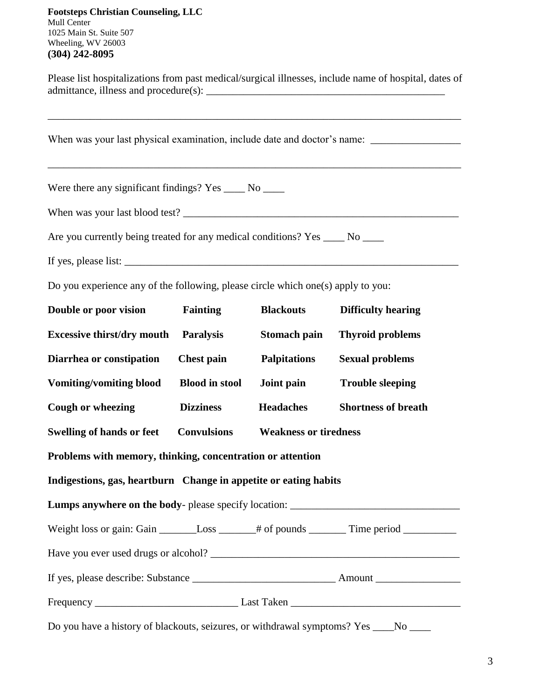Please list hospitalizations from past medical/surgical illnesses, include name of hospital, dates of admittance, illness and procedure(s): \_\_\_\_\_\_\_\_\_\_\_\_\_\_\_\_\_\_\_\_\_\_\_\_\_\_\_\_\_\_\_\_\_\_\_\_\_\_\_\_\_\_\_\_\_

| Were there any significant findings? Yes _____ No _____                                                                                                                                                                          |                       |                              |                            |
|----------------------------------------------------------------------------------------------------------------------------------------------------------------------------------------------------------------------------------|-----------------------|------------------------------|----------------------------|
|                                                                                                                                                                                                                                  |                       |                              |                            |
| Are you currently being treated for any medical conditions? Yes _____ No _____                                                                                                                                                   |                       |                              |                            |
| If yes, please list: $\frac{1}{2}$ is the set of the set of the set of the set of the set of the set of the set of the set of the set of the set of the set of the set of the set of the set of the set of the set of the set of |                       |                              |                            |
| Do you experience any of the following, please circle which one(s) apply to you:                                                                                                                                                 |                       |                              |                            |
| Double or poor vision                                                                                                                                                                                                            | Fainting              | <b>Blackouts</b>             | <b>Difficulty hearing</b>  |
| <b>Excessive thirst/dry mouth</b>                                                                                                                                                                                                | <b>Paralysis</b>      | Stomach pain                 | <b>Thyroid problems</b>    |
| Diarrhea or constipation                                                                                                                                                                                                         | <b>Chest pain</b>     | <b>Palpitations</b>          | <b>Sexual problems</b>     |
| <b>Vomiting/vomiting blood</b>                                                                                                                                                                                                   | <b>Blood in stool</b> | Joint pain                   | <b>Trouble sleeping</b>    |
| Cough or wheezing                                                                                                                                                                                                                | <b>Dizziness</b>      | <b>Headaches</b>             | <b>Shortness of breath</b> |
| <b>Swelling of hands or feet</b>                                                                                                                                                                                                 | <b>Convulsions</b>    | <b>Weakness or tiredness</b> |                            |
| Problems with memory, thinking, concentration or attention                                                                                                                                                                       |                       |                              |                            |
| Indigestions, gas, heartburn Change in appetite or eating habits                                                                                                                                                                 |                       |                              |                            |
| Lumps anywhere on the body- please specify location: ___________                                                                                                                                                                 |                       |                              |                            |
| Weight loss or gain: Gain _________Loss _______# of pounds ________Time period ____________________                                                                                                                              |                       |                              |                            |
|                                                                                                                                                                                                                                  |                       |                              |                            |
|                                                                                                                                                                                                                                  |                       |                              |                            |
|                                                                                                                                                                                                                                  |                       |                              |                            |
| Do you have a history of blackouts, seizures, or withdrawal symptoms? Yes ____No ____                                                                                                                                            |                       |                              |                            |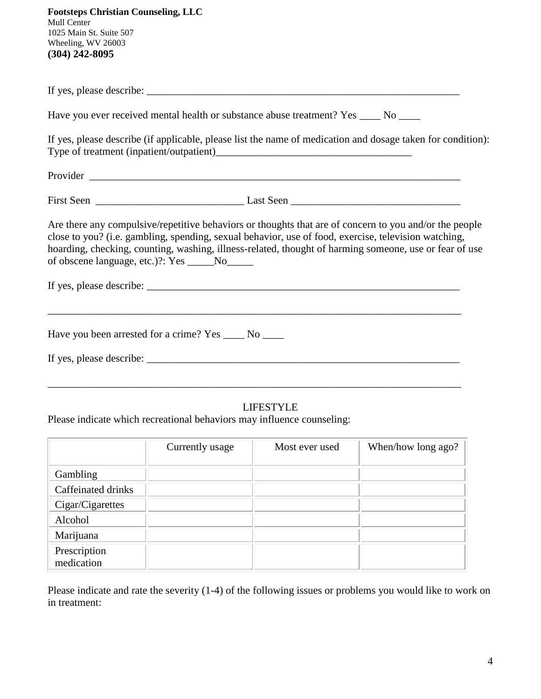| <b>Footsteps Christian Counseling, LLC</b><br>Mull Center<br>1025 Main St. Suite 507<br>Wheeling, WV 26003<br>$(304)$ 242-8095                                                                                                                                                                                                                                            |
|---------------------------------------------------------------------------------------------------------------------------------------------------------------------------------------------------------------------------------------------------------------------------------------------------------------------------------------------------------------------------|
|                                                                                                                                                                                                                                                                                                                                                                           |
| Have you ever received mental health or substance abuse treatment? Yes _____ No ____                                                                                                                                                                                                                                                                                      |
| If yes, please describe (if applicable, please list the name of medication and dosage taken for condition):                                                                                                                                                                                                                                                               |
|                                                                                                                                                                                                                                                                                                                                                                           |
|                                                                                                                                                                                                                                                                                                                                                                           |
| Are there any compulsive/repetitive behaviors or thoughts that are of concern to you and/or the people<br>close to you? (i.e. gambling, spending, sexual behavior, use of food, exercise, television watching,<br>hoarding, checking, counting, washing, illness-related, thought of harming someone, use or fear of use<br>of obscene language, etc.)?: Yes _____No_____ |
|                                                                                                                                                                                                                                                                                                                                                                           |
| Have you been arrested for a crime? Yes ______ No _____                                                                                                                                                                                                                                                                                                                   |
|                                                                                                                                                                                                                                                                                                                                                                           |
| <b>LIFESTYLE</b><br>Please indicate which recreational behaviors may influence counseling:                                                                                                                                                                                                                                                                                |

|                            | Currently usage | Most ever used | When/how long ago? |
|----------------------------|-----------------|----------------|--------------------|
|                            |                 |                |                    |
| Gambling                   |                 |                |                    |
| Caffeinated drinks         |                 |                |                    |
| Cigar/Cigarettes           |                 |                |                    |
| Alcohol                    |                 |                |                    |
| Marijuana                  |                 |                |                    |
| Prescription<br>medication |                 |                |                    |

Please indicate and rate the severity (1-4) of the following issues or problems you would like to work on in treatment: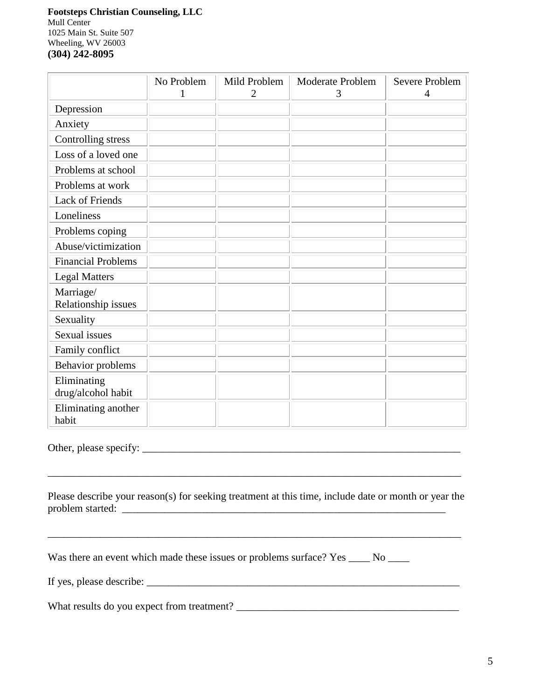|                                   | No Problem | Mild Problem<br>2 | <b>Moderate Problem</b><br>3 | <b>Severe Problem</b><br>4 |
|-----------------------------------|------------|-------------------|------------------------------|----------------------------|
| Depression                        |            |                   |                              |                            |
| Anxiety                           |            |                   |                              |                            |
| Controlling stress                |            |                   |                              |                            |
| Loss of a loved one               |            |                   |                              |                            |
| Problems at school                |            |                   |                              |                            |
| Problems at work                  |            |                   |                              |                            |
| <b>Lack of Friends</b>            |            |                   |                              |                            |
| Loneliness                        |            |                   |                              |                            |
| Problems coping                   |            |                   |                              |                            |
| Abuse/victimization               |            |                   |                              |                            |
| <b>Financial Problems</b>         |            |                   |                              |                            |
| <b>Legal Matters</b>              |            |                   |                              |                            |
| Marriage/<br>Relationship issues  |            |                   |                              |                            |
| Sexuality                         |            |                   |                              |                            |
| Sexual issues                     |            |                   |                              |                            |
| Family conflict                   |            |                   |                              |                            |
| Behavior problems                 |            |                   |                              |                            |
| Eliminating<br>drug/alcohol habit |            |                   |                              |                            |
| Eliminating another<br>habit      |            |                   |                              |                            |

Other, please specify: \_\_\_\_\_\_\_\_\_\_\_\_\_\_\_\_\_\_\_\_\_\_\_\_\_\_\_\_\_\_\_\_\_\_\_\_\_\_\_\_\_\_\_\_\_\_\_\_\_\_\_\_\_\_\_\_\_\_\_\_

Please describe your reason(s) for seeking treatment at this time, include date or month or year the problem started: \_\_\_\_\_\_\_\_\_\_\_\_\_\_\_\_\_\_\_\_\_\_\_\_\_\_\_\_\_\_\_\_\_\_\_\_\_\_\_\_\_\_\_\_\_\_\_\_\_\_\_\_\_\_\_\_\_\_\_\_\_

\_\_\_\_\_\_\_\_\_\_\_\_\_\_\_\_\_\_\_\_\_\_\_\_\_\_\_\_\_\_\_\_\_\_\_\_\_\_\_\_\_\_\_\_\_\_\_\_\_\_\_\_\_\_\_\_\_\_\_\_\_\_\_\_\_\_\_\_\_\_\_\_\_\_\_\_\_\_

\_\_\_\_\_\_\_\_\_\_\_\_\_\_\_\_\_\_\_\_\_\_\_\_\_\_\_\_\_\_\_\_\_\_\_\_\_\_\_\_\_\_\_\_\_\_\_\_\_\_\_\_\_\_\_\_\_\_\_\_\_\_\_\_\_\_\_\_\_\_\_\_\_\_\_\_\_\_

Was there an event which made these issues or problems surface? Yes \_\_\_\_ No \_\_\_\_

If yes, please describe:  $\Box$ 

What results do you expect from treatment? \_\_\_\_\_\_\_\_\_\_\_\_\_\_\_\_\_\_\_\_\_\_\_\_\_\_\_\_\_\_\_\_\_\_\_\_\_\_\_\_\_\_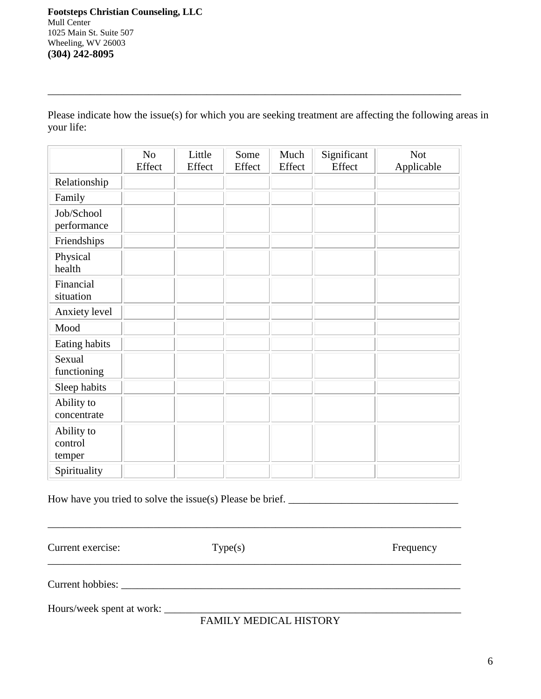Please indicate how the issue(s) for which you are seeking treatment are affecting the following areas in your life:

\_\_\_\_\_\_\_\_\_\_\_\_\_\_\_\_\_\_\_\_\_\_\_\_\_\_\_\_\_\_\_\_\_\_\_\_\_\_\_\_\_\_\_\_\_\_\_\_\_\_\_\_\_\_\_\_\_\_\_\_\_\_\_\_\_\_\_\_\_\_\_\_\_\_\_\_\_\_

|                           | N <sub>0</sub><br>Effect | Little<br>Effect | Some<br>Effect | Much<br>Effect | Significant<br>Effect | <b>Not</b><br>Applicable |
|---------------------------|--------------------------|------------------|----------------|----------------|-----------------------|--------------------------|
| Relationship              |                          |                  |                |                |                       |                          |
| Family                    |                          |                  |                |                |                       |                          |
| Job/School<br>performance |                          |                  |                |                |                       |                          |
| Friendships               |                          |                  |                |                |                       |                          |
| Physical<br>health        |                          |                  |                |                |                       |                          |
| Financial<br>situation    |                          |                  |                |                |                       |                          |
| Anxiety level             |                          |                  |                |                |                       |                          |
| Mood                      |                          |                  |                |                |                       |                          |
| Eating habits             |                          |                  |                |                |                       |                          |
| Sexual<br>functioning     |                          |                  |                |                |                       |                          |
| Sleep habits              |                          |                  |                |                |                       |                          |
| Ability to<br>concentrate |                          |                  |                |                |                       |                          |
| Ability to<br>control     |                          |                  |                |                |                       |                          |
| temper<br>Spirituality    |                          |                  |                |                |                       |                          |
|                           |                          |                  |                |                |                       |                          |

How have you tried to solve the issue(s) Please be brief. \_\_\_\_\_\_\_\_\_\_\_\_\_\_\_\_\_\_\_\_\_\_\_\_\_\_\_\_\_\_\_\_

Current exercise: Type(s) Type(s) Frequency

\_\_\_\_\_\_\_\_\_\_\_\_\_\_\_\_\_\_\_\_\_\_\_\_\_\_\_\_\_\_\_\_\_\_\_\_\_\_\_\_\_\_\_\_\_\_\_\_\_\_\_\_\_\_\_\_\_\_\_\_\_\_\_\_\_\_\_\_\_\_\_\_\_\_\_\_\_\_

Current hobbies: \_\_\_\_\_\_\_\_\_\_\_\_\_\_\_\_\_\_\_\_\_\_\_\_\_\_\_\_\_\_\_\_\_\_\_\_\_\_\_\_\_\_\_\_\_\_\_\_\_\_\_\_\_\_\_\_\_\_\_\_\_\_\_\_

Hours/week spent at work: \_\_\_\_\_\_\_\_\_\_\_\_\_\_\_\_\_\_\_\_\_\_\_\_\_\_\_\_\_\_\_\_\_\_\_\_\_\_\_\_\_\_\_\_\_\_\_\_\_\_\_\_\_\_\_\_

FAMILY MEDICAL HISTORY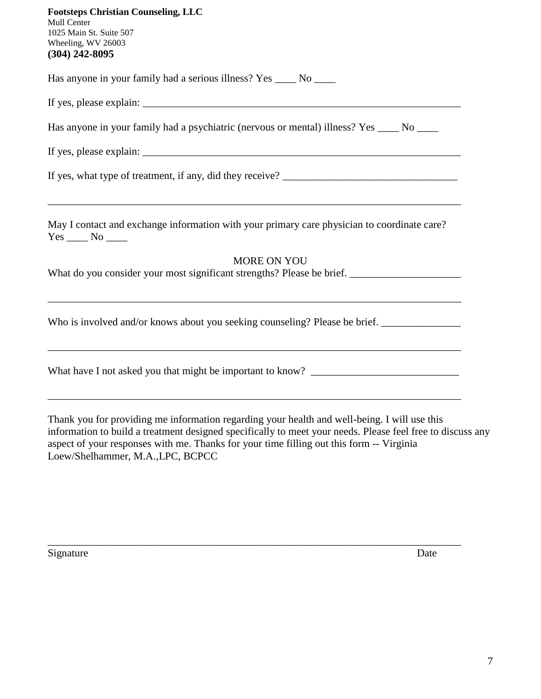| <b>Footsteps Christian Counseling, LLC</b><br><b>Mull Center</b><br>1025 Main St. Suite 507<br>Wheeling, WV 26003<br>$(304)$ 242-8095 |
|---------------------------------------------------------------------------------------------------------------------------------------|
| Has anyone in your family had a serious illness? Yes ______ No ______                                                                 |
|                                                                                                                                       |
| Has anyone in your family had a psychiatric (nervous or mental) illness? Yes _____ No _____                                           |
|                                                                                                                                       |
| If yes, what type of treatment, if any, did they receive?                                                                             |
| May I contact and exchange information with your primary care physician to coordinate care?                                           |
| <b>MORE ON YOU</b>                                                                                                                    |
|                                                                                                                                       |
| Who is involved and/or knows about you seeking counseling? Please be brief. __________________________________                        |
| What have I not asked you that might be important to know? ______________________                                                     |
|                                                                                                                                       |

Thank you for providing me information regarding your health and well-being. I will use this information to build a treatment designed specifically to meet your needs. Please feel free to discuss any aspect of your responses with me. Thanks for your time filling out this form -- Virginia Loew/Shelhammer, M.A.,LPC, BCPCC

\_\_\_\_\_\_\_\_\_\_\_\_\_\_\_\_\_\_\_\_\_\_\_\_\_\_\_\_\_\_\_\_\_\_\_\_\_\_\_\_\_\_\_\_\_\_\_\_\_\_\_\_\_\_\_\_\_\_\_\_\_\_\_\_\_\_\_\_\_\_\_\_\_\_\_\_\_\_

Signature Date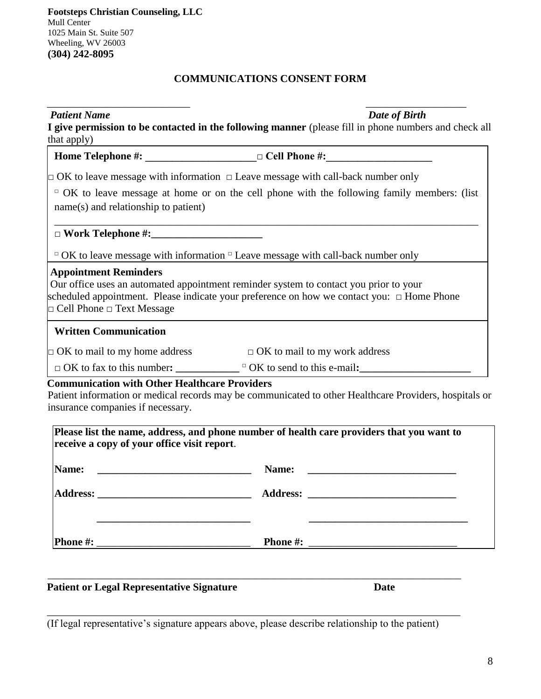## **COMMUNICATIONS CONSENT FORM**

| <b>Patient Name</b><br>that apply)                                                        | Date of Birth<br>I give permission to be contacted in the following manner (please fill in phone numbers and check all                                                                              |
|-------------------------------------------------------------------------------------------|-----------------------------------------------------------------------------------------------------------------------------------------------------------------------------------------------------|
|                                                                                           | Home Telephone #: _______________________ □ Cell Phone #: _______________________                                                                                                                   |
|                                                                                           | $\Box$ OK to leave message with information $\Box$ Leave message with call-back number only                                                                                                         |
| name(s) and relationship to patient)                                                      | $\Box$ OK to leave message at home or on the cell phone with the following family members: (list                                                                                                    |
|                                                                                           |                                                                                                                                                                                                     |
|                                                                                           | $\Box$ OK to leave message with information $\Box$ Leave message with call-back number only                                                                                                         |
| <b>Appointment Reminders</b><br>$\Box$ Cell Phone $\Box$ Text Message                     | Our office uses an automated appointment reminder system to contact you prior to your<br>scheduled appointment. Please indicate your preference on how we contact you: □ Home Phone                 |
| <b>Written Communication</b>                                                              |                                                                                                                                                                                                     |
| $\Box$ OK to mail to my home address                                                      | $\Box$ OK to mail to my work address                                                                                                                                                                |
|                                                                                           | $\Box$ OK to fax to this number: $\Box$ $\Box$ OK to send to this e-mail:                                                                                                                           |
| <b>Communication with Other Healthcare Providers</b><br>insurance companies if necessary. | Patient information or medical records may be communicated to other Healthcare Providers, hospitals or<br>Please list the name, address, and phone number of health care providers that you want to |
| receive a copy of your office visit report.                                               |                                                                                                                                                                                                     |
| Name:                                                                                     | Name:                                                                                                                                                                                               |
| <b>Address:</b>                                                                           | <b>Address:</b><br>the control of the control of the control of the control of the control of the control of                                                                                        |
|                                                                                           |                                                                                                                                                                                                     |

## Patient or Legal Representative Signature **Date** Date

(If legal representative's signature appears above, please describe relationship to the patient)

\_\_\_\_\_\_\_\_\_\_\_\_\_\_\_\_\_\_\_\_\_\_\_\_\_\_\_\_\_\_\_\_\_\_\_\_\_\_\_\_\_\_\_\_\_\_\_\_\_\_\_\_\_\_\_\_\_\_\_\_\_\_\_\_\_\_\_\_\_\_\_\_\_\_\_\_\_\_

\_\_\_\_\_\_\_\_\_\_\_\_\_\_\_\_\_\_\_\_\_\_\_\_\_\_\_\_\_\_\_\_\_\_\_\_\_\_\_\_\_\_\_\_\_\_\_\_\_\_\_\_\_\_\_\_\_\_\_\_\_\_\_\_\_\_\_\_\_\_\_\_\_\_\_\_\_\_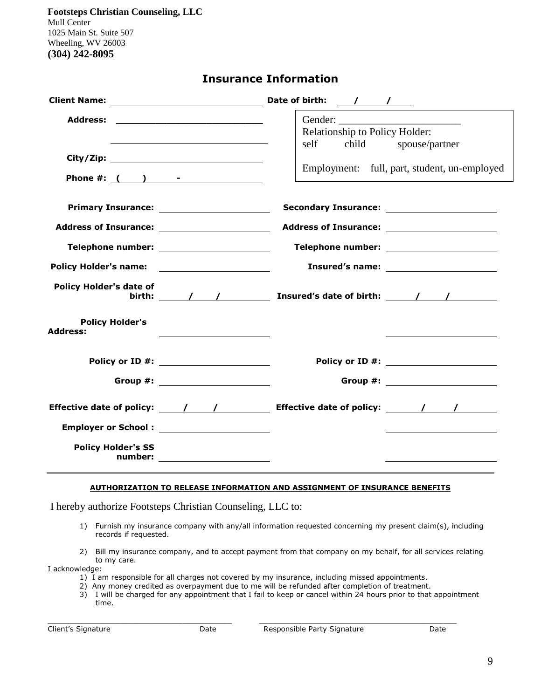| <b>Insurance Information</b> |
|------------------------------|
|------------------------------|

|                                                  |                                  | Relationship to Policy Holder:<br>self child spouse/partner<br>Employment: full, part, student, un-employed                                                                                                                                                                                                                                                                                      |
|--------------------------------------------------|----------------------------------|--------------------------------------------------------------------------------------------------------------------------------------------------------------------------------------------------------------------------------------------------------------------------------------------------------------------------------------------------------------------------------------------------|
|                                                  |                                  | <b>Secondary Insurance:</b> Secondary Insurance:                                                                                                                                                                                                                                                                                                                                                 |
| Telephone number: _______________________        |                                  | Telephone number: ______________________                                                                                                                                                                                                                                                                                                                                                         |
| Policy Holder's name: ________________________   |                                  |                                                                                                                                                                                                                                                                                                                                                                                                  |
| <b>Policy Holder's date of</b>                   |                                  | birth: $\sqrt{1 - (1 - 1)^2}$ Insured's date of birth: $\sqrt{1 - (1 - 1)^2}$                                                                                                                                                                                                                                                                                                                    |
| <b>Policy Holder's</b><br><b>Address:</b>        |                                  |                                                                                                                                                                                                                                                                                                                                                                                                  |
| Policy or ID #: _______________________          |                                  | Policy or ID #: ______________________                                                                                                                                                                                                                                                                                                                                                           |
|                                                  | Group #: _______________________ | Group #: _____________________                                                                                                                                                                                                                                                                                                                                                                   |
|                                                  |                                  | Effective date of policy: $\frac{1}{\sqrt{1-\frac{1}{1-\frac{1}{1-\frac{1}{1-\frac{1}{1-\frac{1}{1-\frac{1}{1-\frac{1}{1-\frac{1}{1-\frac{1}{1-\frac{1}{1-\frac{1}{1-\frac{1}{1-\frac{1}{1-\frac{1}{1-\frac{1}{1-\frac{1}{1-\frac{1}{1-\frac{1}{1-\frac{1}{1-\frac{1}{1-\frac{1}{1-\frac{1}{1-\frac{1}{1-\frac{1}{1-\frac{1}{1-\frac{1}{1-\frac{1}{1-\frac{1}{1-\frac{1}{1-\frac{1}{1-\frac{1}{$ |
| Employer or School: <u>_____________________</u> |                                  |                                                                                                                                                                                                                                                                                                                                                                                                  |
| <b>Policy Holder's SS</b>                        | number: _______________________  |                                                                                                                                                                                                                                                                                                                                                                                                  |

#### **AUTHORIZATION TO RELEASE INFORMATION AND ASSIGNMENT OF INSURANCE BENEFITS**

I hereby authorize Footsteps Christian Counseling, LLC to:

- 1) Furnish my insurance company with any/all information requested concerning my present claim(s), including records if requested.
- 2) Bill my insurance company, and to accept payment from that company on my behalf, for all services relating to my care.

I acknowledge:

- 1) I am responsible for all charges not covered by my insurance, including missed appointments.
- 2) Any money credited as overpayment due to me will be refunded after completion of treatment.

 $\_$  ,  $\_$  ,  $\_$  ,  $\_$  ,  $\_$  ,  $\_$  ,  $\_$  ,  $\_$  ,  $\_$  ,  $\_$  ,  $\_$  ,  $\_$  ,  $\_$  ,  $\_$  ,  $\_$  ,  $\_$  ,  $\_$  ,  $\_$  ,  $\_$  ,  $\_$ 

3) I will be charged for any appointment that I fail to keep or cancel within 24 hours prior to that appointment time.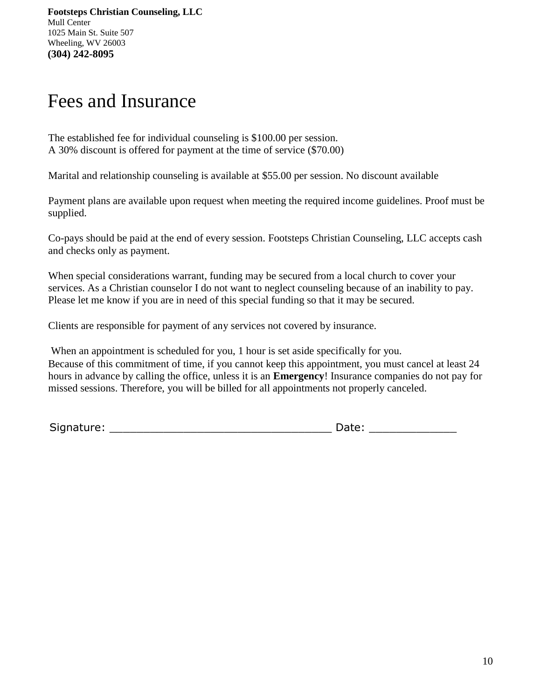# Fees and Insurance

The established fee for individual counseling is \$100.00 per session. A 30% discount is offered for payment at the time of service (\$70.00)

Marital and relationship counseling is available at \$55.00 per session. No discount available

Payment plans are available upon request when meeting the required income guidelines. Proof must be supplied.

Co-pays should be paid at the end of every session. Footsteps Christian Counseling, LLC accepts cash and checks only as payment.

When special considerations warrant, funding may be secured from a local church to cover your services. As a Christian counselor I do not want to neglect counseling because of an inability to pay. Please let me know if you are in need of this special funding so that it may be secured.

Clients are responsible for payment of any services not covered by insurance.

When an appointment is scheduled for you, 1 hour is set aside specifically for you. Because of this commitment of time, if you cannot keep this appointment, you must cancel at least 24 hours in advance by calling the office, unless it is an **Emergency**! Insurance companies do not pay for missed sessions. Therefore, you will be billed for all appointments not properly canceled.

Signature: \_\_\_\_\_\_\_\_\_\_\_\_\_\_\_\_\_\_\_\_\_\_\_\_\_\_\_\_\_\_\_\_\_ Date: \_\_\_\_\_\_\_\_\_\_\_\_\_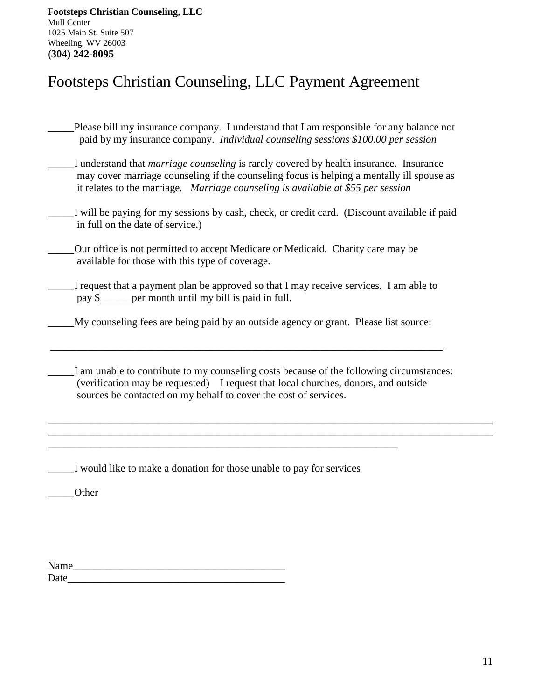## Footsteps Christian Counseling, LLC Payment Agreement

- Please bill my insurance company. I understand that I am responsible for any balance not paid by my insurance company. *Individual counseling sessions \$100.00 per session*
- \_\_\_\_\_I understand that *marriage counseling* is rarely covered by health insurance. Insurance may cover marriage counseling if the counseling focus is helping a mentally ill spouse as it relates to the marriage*. Marriage counseling is available at \$55 per session*
- \_\_\_\_\_I will be paying for my sessions by cash, check, or credit card. (Discount available if paid in full on the date of service.)
- \_\_\_\_\_Our office is not permitted to accept Medicare or Medicaid. Charity care may be available for those with this type of coverage.
- I request that a payment plan be approved so that I may receive services. I am able to pay \$ per month until my bill is paid in full.
- \_\_\_\_\_My counseling fees are being paid by an outside agency or grant. Please list source:

\_\_\_\_\_\_\_\_\_\_\_\_\_\_\_\_\_\_\_\_\_\_\_\_\_\_\_\_\_\_\_\_\_\_\_\_\_\_\_\_\_\_\_\_\_\_\_\_\_\_\_\_\_\_\_\_\_\_\_\_\_\_\_\_\_\_\_\_\_\_\_\_\_\_.

I am unable to contribute to my counseling costs because of the following circumstances: (verification may be requested) I request that local churches, donors, and outside sources be contacted on my behalf to cover the cost of services.

\_\_\_\_\_\_\_\_\_\_\_\_\_\_\_\_\_\_\_\_\_\_\_\_\_\_\_\_\_\_\_\_\_\_\_\_\_\_\_\_\_\_\_\_\_\_\_\_\_\_\_\_\_\_\_\_\_\_\_\_\_\_\_\_\_\_\_\_\_\_\_\_\_\_\_\_\_\_\_\_\_\_\_\_ \_\_\_\_\_\_\_\_\_\_\_\_\_\_\_\_\_\_\_\_\_\_\_\_\_\_\_\_\_\_\_\_\_\_\_\_\_\_\_\_\_\_\_\_\_\_\_\_\_\_\_\_\_\_\_\_\_\_\_\_\_\_\_\_\_\_\_\_\_\_\_\_\_\_\_\_\_\_\_\_\_\_\_\_

\_\_\_\_\_I would like to make a donation for those unable to pay for services

\_\_\_\_\_\_\_\_\_\_\_\_\_\_\_\_\_\_\_\_\_\_\_\_\_\_\_\_\_\_\_\_\_\_\_\_\_\_\_\_\_\_\_\_\_\_\_\_\_\_\_\_\_\_\_\_\_\_\_\_\_\_\_\_\_\_

\_\_\_\_\_Other

| Name |  |  |
|------|--|--|
| Date |  |  |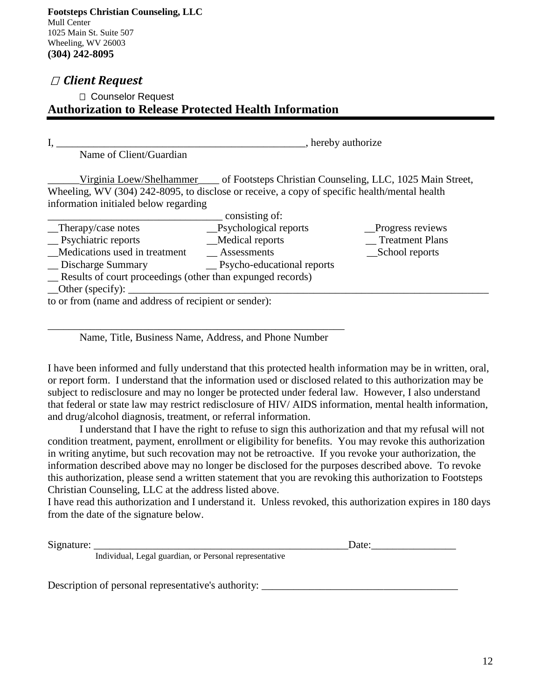## *Client Request*

## Counselor Request **Authorization to Release Protected Health Information**

|                          | hereby authorize,                           |  |
|--------------------------|---------------------------------------------|--|
| Name of Client/Guardian  |                                             |  |
| Virginia Loew/Shelhammer | of Footsteps Christian Counseling, LLC, 10. |  |

25 Main Street, Wheeling, WV (304) 242-8095, to disclose or receive, a copy of specific health/mental health information initialed below regarding

|                                                            | consisting of:                              |                   |  |  |
|------------------------------------------------------------|---------------------------------------------|-------------------|--|--|
| $\Box$ Therapy/case notes                                  | _Psychological reports                      | _Progress reviews |  |  |
| $\equiv$ Psychiatric reports                               | _Medical reports                            | Treatment Plans   |  |  |
| Medications used in treatment                              | Assessments                                 | _School reports   |  |  |
| _ Discharge Summary                                        | <u>Secretary</u> Psycho-educational reports |                   |  |  |
| Results of court proceedings (other than expunged records) |                                             |                   |  |  |
| $\_\text{Other (specific)}$ :                              |                                             |                   |  |  |
| to or from (name and address of recipient or sender):      |                                             |                   |  |  |

Name, Title, Business Name, Address, and Phone Number

\_\_\_\_\_\_\_\_\_\_\_\_\_\_\_\_\_\_\_\_\_\_\_\_\_\_\_\_\_\_\_\_\_\_\_\_\_\_\_\_\_\_\_\_\_\_\_\_\_\_\_\_\_\_\_\_

I have been informed and fully understand that this protected health information may be in written, oral, or report form. I understand that the information used or disclosed related to this authorization may be subject to redisclosure and may no longer be protected under federal law. However, I also understand that federal or state law may restrict redisclosure of HIV/ AIDS information, mental health information, and drug/alcohol diagnosis, treatment, or referral information.

I understand that I have the right to refuse to sign this authorization and that my refusal will not condition treatment, payment, enrollment or eligibility for benefits. You may revoke this authorization in writing anytime, but such recovation may not be retroactive. If you revoke your authorization, the information described above may no longer be disclosed for the purposes described above. To revoke this authorization, please send a written statement that you are revoking this authorization to Footsteps Christian Counseling, LLC at the address listed above.

I have read this authorization and I understand it. Unless revoked, this authorization expires in 180 days from the date of the signature below.

Signature: \_\_\_\_\_\_\_\_\_\_\_\_\_\_\_\_\_\_\_\_\_\_\_\_\_\_\_\_\_\_\_\_\_\_\_\_\_\_\_\_\_\_\_\_\_\_\_\_Date:\_\_\_\_\_\_\_\_\_\_\_\_\_\_\_\_

Individual, Legal guardian, or Personal representative

Description of personal representative's authority: \_\_\_\_\_\_\_\_\_\_\_\_\_\_\_\_\_\_\_\_\_\_\_\_\_\_\_\_\_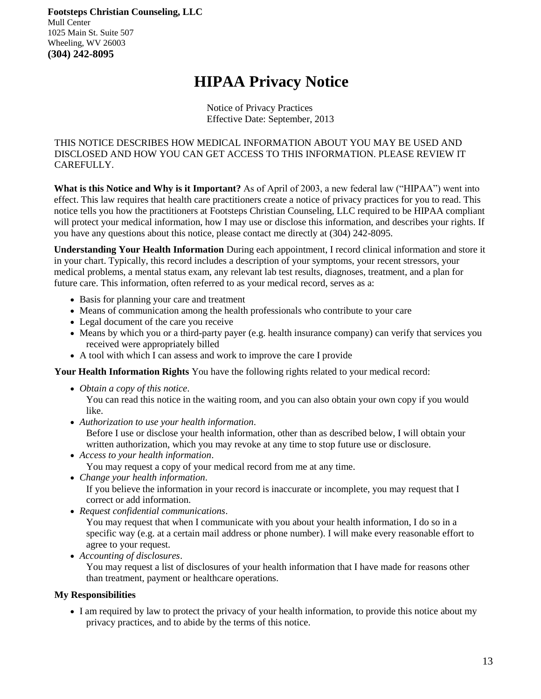## **HIPAA Privacy Notice**

Notice of Privacy Practices Effective Date: September, 2013

THIS NOTICE DESCRIBES HOW MEDICAL INFORMATION ABOUT YOU MAY BE USED AND DISCLOSED AND HOW YOU CAN GET ACCESS TO THIS INFORMATION. PLEASE REVIEW IT CAREFULLY.

**What is this Notice and Why is it Important?** As of April of 2003, a new federal law ("HIPAA") went into effect. This law requires that health care practitioners create a notice of privacy practices for you to read. This notice tells you how the practitioners at Footsteps Christian Counseling, LLC required to be HIPAA compliant will protect your medical information, how I may use or disclose this information, and describes your rights. If you have any questions about this notice, please contact me directly at (304) 242-8095.

**Understanding Your Health Information** During each appointment, I record clinical information and store it in your chart. Typically, this record includes a description of your symptoms, your recent stressors, your medical problems, a mental status exam, any relevant lab test results, diagnoses, treatment, and a plan for future care. This information, often referred to as your medical record, serves as a:

- Basis for planning your care and treatment
- Means of communication among the health professionals who contribute to your care
- Legal document of the care you receive
- Means by which you or a third-party payer (e.g. health insurance company) can verify that services you received were appropriately billed
- A tool with which I can assess and work to improve the care I provide

### **Your Health Information Rights** You have the following rights related to your medical record:

*Obtain a copy of this notice*.

You can read this notice in the waiting room, and you can also obtain your own copy if you would like.

*Authorization to use your health information*.

Before I use or disclose your health information, other than as described below, I will obtain your written authorization, which you may revoke at any time to stop future use or disclosure.

- *Access to your health information*. You may request a copy of your medical record from me at any time.
- *Change your health information*. If you believe the information in your record is inaccurate or incomplete, you may request that I correct or add information.
- *Request confidential communications*.

You may request that when I communicate with you about your health information, I do so in a specific way (e.g. at a certain mail address or phone number). I will make every reasonable effort to agree to your request.

*Accounting of disclosures*.

You may request a list of disclosures of your health information that I have made for reasons other than treatment, payment or healthcare operations.

### **My Responsibilities**

 I am required by law to protect the privacy of your health information, to provide this notice about my privacy practices, and to abide by the terms of this notice.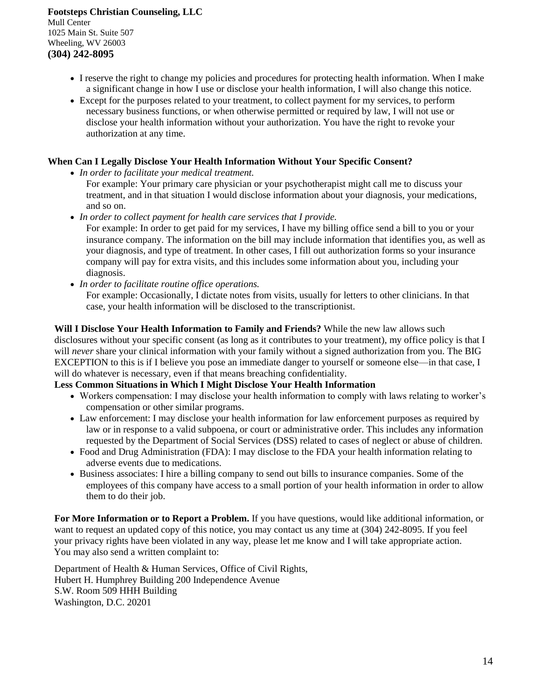- I reserve the right to change my policies and procedures for protecting health information. When I make a significant change in how I use or disclose your health information, I will also change this notice.
- Except for the purposes related to your treatment, to collect payment for my services, to perform necessary business functions, or when otherwise permitted or required by law, I will not use or disclose your health information without your authorization. You have the right to revoke your authorization at any time.

### **When Can I Legally Disclose Your Health Information Without Your Specific Consent?**

- *In order to facilitate your medical treatment.*
	- For example: Your primary care physician or your psychotherapist might call me to discuss your treatment, and in that situation I would disclose information about your diagnosis, your medications, and so on.
	- *In order to collect payment for health care services that I provide.*

For example: In order to get paid for my services, I have my billing office send a bill to you or your insurance company. The information on the bill may include information that identifies you, as well as your diagnosis, and type of treatment. In other cases, I fill out authorization forms so your insurance company will pay for extra visits, and this includes some information about you, including your diagnosis.

*In order to facilitate routine office operations.* 

For example: Occasionally, I dictate notes from visits, usually for letters to other clinicians. In that case, your health information will be disclosed to the transcriptionist.

**Will I Disclose Your Health Information to Family and Friends?** While the new law allows such disclosures without your specific consent (as long as it contributes to your treatment), my office policy is that I will *never* share your clinical information with your family without a signed authorization from you. The BIG EXCEPTION to this is if I believe you pose an immediate danger to yourself or someone else—in that case, I will do whatever is necessary, even if that means breaching confidentiality.

## **Less Common Situations in Which I Might Disclose Your Health Information**

- Workers compensation: I may disclose your health information to comply with laws relating to worker's compensation or other similar programs.
- Law enforcement: I may disclose your health information for law enforcement purposes as required by law or in response to a valid subpoena, or court or administrative order. This includes any information requested by the Department of Social Services (DSS) related to cases of neglect or abuse of children.
- Food and Drug Administration (FDA): I may disclose to the FDA your health information relating to adverse events due to medications.
- Business associates: I hire a billing company to send out bills to insurance companies. Some of the employees of this company have access to a small portion of your health information in order to allow them to do their job.

**For More Information or to Report a Problem.** If you have questions, would like additional information, or want to request an updated copy of this notice, you may contact us any time at (304) 242-8095. If you feel your privacy rights have been violated in any way, please let me know and I will take appropriate action. You may also send a written complaint to:

Department of Health & Human Services, Office of Civil Rights, Hubert H. Humphrey Building 200 Independence Avenue S.W. Room 509 HHH Building Washington, D.C. 20201